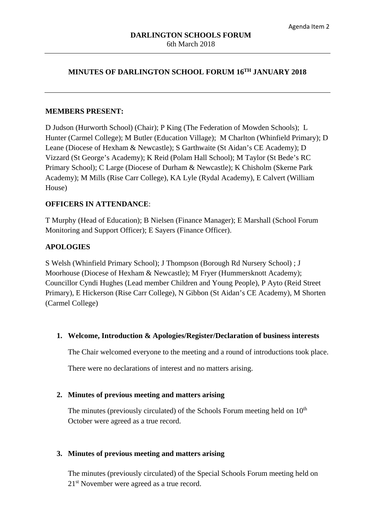### **MINUTES OF DARLINGTON SCHOOL FORUM 16TH JANUARY 2018**

#### **MEMBERS PRESENT:**

D Judson (Hurworth School) (Chair); P King (The Federation of Mowden Schools); L Hunter (Carmel College); M Butler (Education Village); M Charlton (Whinfield Primary); D Leane (Diocese of Hexham & Newcastle); S Garthwaite (St Aidan's CE Academy); D Vizzard (St George's Academy); K Reid (Polam Hall School); M Taylor (St Bede's RC Primary School); C Large (Diocese of Durham & Newcastle); K Chisholm (Skerne Park Academy); M Mills (Rise Carr College), KA Lyle (Rydal Academy), E Calvert (William House)

### **OFFICERS IN ATTENDANCE**:

T Murphy (Head of Education); B Nielsen (Finance Manager); E Marshall (School Forum Monitoring and Support Officer); E Sayers (Finance Officer).

### **APOLOGIES**

S Welsh (Whinfield Primary School); J Thompson (Borough Rd Nursery School) ; J Moorhouse (Diocese of Hexham & Newcastle); M Fryer (Hummersknott Academy); Councillor Cyndi Hughes (Lead member Children and Young People), P Ayto (Reid Street Primary), E Hickerson (Rise Carr College), N Gibbon (St Aidan's CE Academy), M Shorten (Carmel College)

### **1. Welcome, Introduction & Apologies/Register/Declaration of business interests**

The Chair welcomed everyone to the meeting and a round of introductions took place.

There were no declarations of interest and no matters arising.

### **2. Minutes of previous meeting and matters arising**

The minutes (previously circulated) of the Schools Forum meeting held on  $10<sup>th</sup>$ October were agreed as a true record.

### **3. Minutes of previous meeting and matters arising**

The minutes (previously circulated) of the Special Schools Forum meeting held on 21st November were agreed as a true record.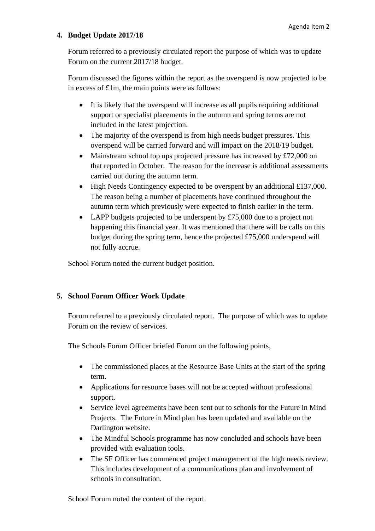## **4. Budget Update 2017/18**

Forum referred to a previously circulated report the purpose of which was to update Forum on the current 2017/18 budget.

Forum discussed the figures within the report as the overspend is now projected to be in excess of £1m, the main points were as follows:

- It is likely that the overspend will increase as all pupils requiring additional support or specialist placements in the autumn and spring terms are not included in the latest projection.
- The majority of the overspend is from high needs budget pressures. This overspend will be carried forward and will impact on the 2018/19 budget.
- Mainstream school top ups projected pressure has increased by £72,000 on that reported in October. The reason for the increase is additional assessments carried out during the autumn term.
- High Needs Contingency expected to be overspent by an additional £137,000. The reason being a number of placements have continued throughout the autumn term which previously were expected to finish earlier in the term.
- LAPP budgets projected to be underspent by £75,000 due to a project not happening this financial year. It was mentioned that there will be calls on this budget during the spring term, hence the projected £75,000 underspend will not fully accrue.

School Forum noted the current budget position.

# **5. School Forum Officer Work Update**

Forum referred to a previously circulated report. The purpose of which was to update Forum on the review of services.

The Schools Forum Officer briefed Forum on the following points,

- The commissioned places at the Resource Base Units at the start of the spring term.
- Applications for resource bases will not be accepted without professional support.
- Service level agreements have been sent out to schools for the Future in Mind Projects. The Future in Mind plan has been updated and available on the Darlington website.
- The Mindful Schools programme has now concluded and schools have been provided with evaluation tools.
- The SF Officer has commenced project management of the high needs review. This includes development of a communications plan and involvement of schools in consultation.

School Forum noted the content of the report.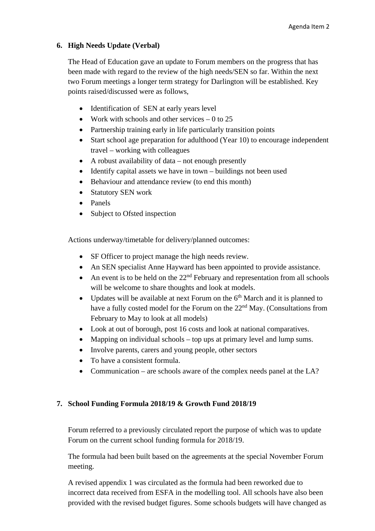## **6. High Needs Update (Verbal)**

The Head of Education gave an update to Forum members on the progress that has been made with regard to the review of the high needs/SEN so far. Within the next two Forum meetings a longer term strategy for Darlington will be established. Key points raised/discussed were as follows,

- Identification of SEN at early years level
- Work with schools and other services  $-0$  to 25
- Partnership training early in life particularly transition points
- Start school age preparation for adulthood (Year 10) to encourage independent travel – working with colleagues
- A robust availability of data not enough presently
- Identify capital assets we have in town buildings not been used
- Behaviour and attendance review (to end this month)
- Statutory SEN work
- Panels
- Subject to Ofsted inspection

Actions underway/timetable for delivery/planned outcomes:

- SF Officer to project manage the high needs review.
- An SEN specialist Anne Hayward has been appointed to provide assistance.
- An event is to be held on the  $22<sup>nd</sup>$  February and representation from all schools will be welcome to share thoughts and look at models.
- Updates will be available at next Forum on the  $6<sup>th</sup>$  March and it is planned to have a fully costed model for the Forum on the 22<sup>nd</sup> May. (Consultations from February to May to look at all models)
- Look at out of borough, post 16 costs and look at national comparatives.
- Mapping on individual schools top ups at primary level and lump sums.
- Involve parents, carers and young people, other sectors
- To have a consistent formula.
- Communication are schools aware of the complex needs panel at the LA?

# **7. School Funding Formula 2018/19 & Growth Fund 2018/19**

Forum referred to a previously circulated report the purpose of which was to update Forum on the current school funding formula for 2018/19.

The formula had been built based on the agreements at the special November Forum meeting.

A revised appendix 1 was circulated as the formula had been reworked due to incorrect data received from ESFA in the modelling tool. All schools have also been provided with the revised budget figures. Some schools budgets will have changed as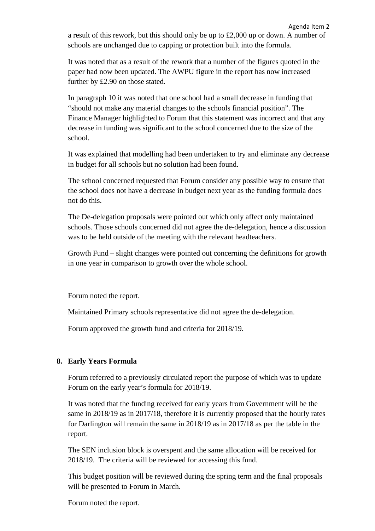a result of this rework, but this should only be up to £2,000 up or down. A number of schools are unchanged due to capping or protection built into the formula.

Agenda Item 2

It was noted that as a result of the rework that a number of the figures quoted in the paper had now been updated. The AWPU figure in the report has now increased further by £2.90 on those stated.

In paragraph 10 it was noted that one school had a small decrease in funding that "should not make any material changes to the schools financial position". The Finance Manager highlighted to Forum that this statement was incorrect and that any decrease in funding was significant to the school concerned due to the size of the school.

It was explained that modelling had been undertaken to try and eliminate any decrease in budget for all schools but no solution had been found.

The school concerned requested that Forum consider any possible way to ensure that the school does not have a decrease in budget next year as the funding formula does not do this.

The De-delegation proposals were pointed out which only affect only maintained schools. Those schools concerned did not agree the de-delegation, hence a discussion was to be held outside of the meeting with the relevant headteachers.

Growth Fund – slight changes were pointed out concerning the definitions for growth in one year in comparison to growth over the whole school.

Forum noted the report.

Maintained Primary schools representative did not agree the de-delegation.

Forum approved the growth fund and criteria for 2018/19.

## **8. Early Years Formula**

Forum referred to a previously circulated report the purpose of which was to update Forum on the early year's formula for 2018/19.

It was noted that the funding received for early years from Government will be the same in 2018/19 as in 2017/18, therefore it is currently proposed that the hourly rates for Darlington will remain the same in 2018/19 as in 2017/18 as per the table in the report.

The SEN inclusion block is overspent and the same allocation will be received for 2018/19. The criteria will be reviewed for accessing this fund.

This budget position will be reviewed during the spring term and the final proposals will be presented to Forum in March.

Forum noted the report.